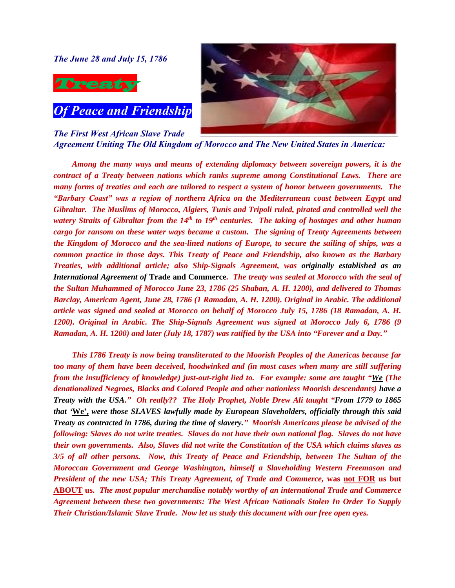*The June 28 and July 15, 1786*



*Of Peace and Friendship*



*The First West African Slave Trade Agreement Uniting The Old Kingdom of Morocco and The New United States in America:*

*Among the many ways and means of extending diplomacy between sovereign powers, it is the contract of a Treaty between nations which ranks supreme among Constitutional Laws. There are many forms of treaties and each are tailored to respect a system of honor between governments. The "Barbary Coast" was a region of northern Africa on the Mediterranean coast between Egypt and Gibraltar. The Muslims of Morocco, Algiers, Tunis and Tripoli ruled, pirated and controlled well the watery Straits of Gibraltar from the 14th to 19th centuries. The taking of hostages and other human cargo for ransom on these water ways became a custom. The signing of Treaty Agreements between the Kingdom of Morocco and the sea-lined nations of Europe, to secure the sailing of ships, was a common practice in those days. This Treaty of Peace and Friendship, also known as the Barbary Treaties, with [additional article;](http://www.yale.edu/lawweb/avalon/diplomacy/barbary/bar1786a.htm) also [Ship-Signals Agreement,](http://www.yale.edu/lawweb/avalon/diplomacy/barbary/bar1786s.htm) was originally established as an International Agreement of* **Trade and Commerce***. The treaty was sealed at Morocco with the seal of the Sultan Muhammed of Morocco June 23, 1786 (25 Shaban, A. H. 1200), and delivered to Thomas Barclay, American Agent, June 28, 1786 (1 Ramadan, A. H. 1200). Original in Arabic. The additional article was signed and sealed at Morocco on behalf of Morocco July 15, 1786 (18 Ramadan, A. H. 1200). Original in Arabic. The Ship-Signals Agreement was signed at Morocco July 6, 1786 (9 Ramadan, A. H. 1200) and later (July 18, 1787) was ratified by the USA into "Forever and a Day."*

*This 1786 Treaty is now being transliterated to the Moorish Peoples of the Americas because far too many of them have been deceived, hoodwinked and (in most cases when many are still suffering from the insufficiency of knowledge) just-out-right lied to. For example: some are taught "We (The denationalized Negroes, Blacks and Colored People and other nationless Moorish descendants) have a Treaty with the USA." Oh really?? The Holy Prophet, Noble Drew Ali taught "From 1779 to 1865 that '***We',** *were those SLAVES lawfully made by European Slaveholders, officially through this said Treaty as contracted in 1786, during the time of slavery." Moorish Americans please be advised of the following: Slaves do not write treaties. Slaves do not have their own national flag. Slaves do not have their own governments. Also, Slaves did not write the Constitution of the USA which claims slaves as 3/5 of all other persons. Now, this Treaty of Peace and Friendship, between The Sultan of the Moroccan Government and George Washington, himself a Slaveholding Western Freemason and President of the new USA; This Treaty Agreement, of Trade and Commerce,* **was not FOR us but ABOUT us.** *The most popular merchandise notably worthy of an international Trade and Commerce Agreement between these two governments: The West African Nationals Stolen In Order To Supply Their Christian/Islamic Slave Trade. Now let us study this document with our free open eyes.*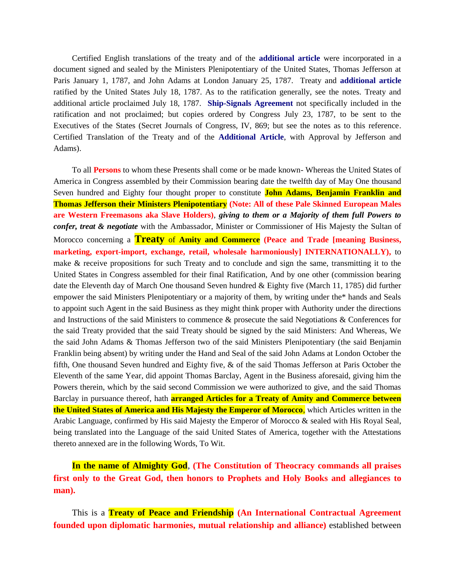Certified English translations of the treaty and of the **[additional article](http://www.yale.edu/lawweb/avalon/diplomacy/barbary/bar1786a.htm)** were incorporated in a document signed and sealed by the Ministers Plenipotentiary of the United States, Thomas Jefferson at Paris January 1, 1787, and John Adams at London January 25, 1787. Treaty and **[additional article](http://www.yale.edu/lawweb/avalon/diplomacy/barbary/bar1786a.htm)** ratified by the United States July 18, 1787. As to the ratification generally, see the notes. Treaty and additional article proclaimed July 18, 1787. **[Ship-Signals Agreement](http://www.yale.edu/lawweb/avalon/diplomacy/barbary/bar1786s.htm)** not specifically included in the ratification and not proclaimed; but copies ordered by Congress July 23, 1787, to be sent to the Executives of the States (Secret Journals of Congress, IV, 869; but see the notes as to this reference. Certified Translation of the Treaty and of the **[Additional Article](http://www.yale.edu/lawweb/avalon/diplomacy/barbary/bar1786a.htm)**, with Approval by Jefferson and Adams).

To all **Persons** to whom these Presents shall come or be made known- Whereas the United States of America in Congress assembled by their Commission bearing date the twelfth day of May One thousand Seven hundred and Eighty four thought proper to constitute **John Adams, Benjamin Franklin and Thomas Jefferson their Ministers Plenipotentiary (Note: All of these Pale Skinned European Males are Western Freemasons aka Slave Holders)**, *giving to them or a Majority of them full Powers to confer, treat & negotiate* with the Ambassador, Minister or Commissioner of His Majesty the Sultan of Morocco concerning a **Treaty** of **Amity and Commerce (Peace and Trade [meaning Business, marketing, export-import, exchange, retail, wholesale harmoniously] INTERNATIONALLY),** to make & receive propositions for such Treaty and to conclude and sign the same, transmitting it to the United States in Congress assembled for their final Ratification, And by one other (commission bearing date the Eleventh day of March One thousand Seven hundred & Eighty five (March 11, 1785) did further empower the said Ministers Plenipotentiary or a majority of them, by writing under the\* hands and Seals to appoint such Agent in the said Business as they might think proper with Authority under the directions and Instructions of the said Ministers to commence & prosecute the said Negotiations & Conferences for the said Treaty provided that the said Treaty should be signed by the said Ministers: And Whereas, We the said John Adams & Thomas Jefferson two of the said Ministers Plenipotentiary (the said Benjamin Franklin being absent) by writing under the Hand and Seal of the said John Adams at London October the fifth, One thousand Seven hundred and Eighty five, & of the said Thomas Jefferson at Paris October the Eleventh of the same Year, did appoint Thomas Barclay, Agent in the Business aforesaid, giving him the Powers therein, which by the said second Commission we were authorized to give, and the said Thomas Barclay in pursuance thereof, hath **arranged Articles for a Treaty of Amity and Commerce between the United States of America and His Majesty the Emperor of Morocco**, which Articles written in the Arabic Language, confirmed by His said Majesty the Emperor of Morocco & sealed with His Royal Seal, being translated into the Language of the said United States of America, together with the Attestations thereto annexed are in the following Words, To Wit.

**In the name of Almighty God**, **(The Constitution of Theocracy commands all praises first only to the Great God, then honors to Prophets and Holy Books and allegiances to man).**

This is a **Treaty of Peace and Friendship (An International Contractual Agreement founded upon diplomatic harmonies, mutual relationship and alliance)** established between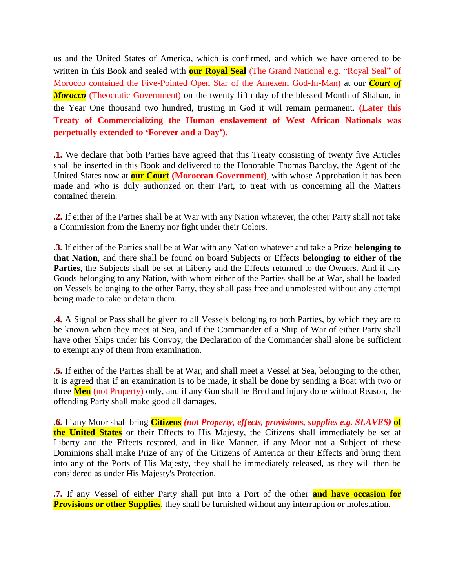us and the United States of America, which is confirmed, and which we have ordered to be written in this Book and sealed with **our Royal Seal** (The Grand National e.g. "Royal Seal" of Morocco contained the Five-Pointed Open Star of the Amexem God-In-Man) at our *Court of*  **Morocco** (Theocratic Government) on the twenty fifth day of the blessed Month of Shaban, in the Year One thousand two hundred, trusting in God it will remain permanent. **(Later this Treaty of Commercializing the Human enslavement of West African Nationals was perpetually extended to 'Forever and a Day').**

**.1.** We declare that both Parties have agreed that this Treaty consisting of twenty five Articles shall be inserted in this Book and delivered to the Honorable Thomas Barclay, the Agent of the United States now at **our Court (Moroccan Government)**, with whose Approbation it has been made and who is duly authorized on their Part, to treat with us concerning all the Matters contained therein.

**.2.** If either of the Parties shall be at War with any Nation whatever, the other Party shall not take a Commission from the Enemy nor fight under their Colors.

**.3.** If either of the Parties shall be at War with any Nation whatever and take a Prize **belonging to that Nation**, and there shall be found on board Subjects or Effects **belonging to either of the**  Parties, the Subjects shall be set at Liberty and the Effects returned to the Owners. And if any Goods belonging to any Nation, with whom either of the Parties shall be at War, shall be loaded on Vessels belonging to the other Party, they shall pass free and unmolested without any attempt being made to take or detain them.

**.4.** A Signal or Pass shall be given to all Vessels belonging to both Parties, by which they are to be known when they meet at Sea, and if the Commander of a Ship of War of either Party shall have other Ships under his Convoy, the Declaration of the Commander shall alone be sufficient to exempt any of them from examination.

**.5.** If either of the Parties shall be at War, and shall meet a Vessel at Sea, belonging to the other, it is agreed that if an examination is to be made, it shall be done by sending a Boat with two or three **Men** (not Property) only, and if any Gun shall be Bred and injury done without Reason, the offending Party shall make good all damages.

**.6.** If any Moor shall bring **Citizens** *(not Property, effects, provisions, supplies e.g. SLAVES)* **of the United States** or their Effects to His Majesty, the Citizens shall immediately be set at Liberty and the Effects restored, and in like Manner, if any Moor not a Subject of these Dominions shall make Prize of any of the Citizens of America or their Effects and bring them into any of the Ports of His Majesty, they shall be immediately released, as they will then be considered as under His Majesty's Protection.

**.7.** If any Vessel of either Party shall put into a Port of the other **and have occasion for Provisions or other Supplies**, they shall be furnished without any interruption or molestation.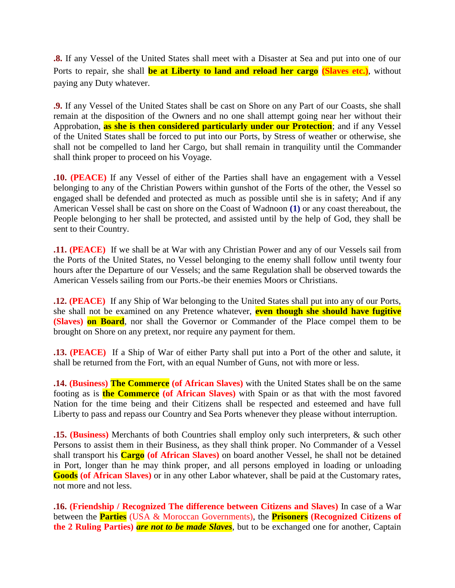**.8.** If any Vessel of the United States shall meet with a Disaster at Sea and put into one of our Ports to repair, she shall **be at Liberty to land and reload her cargo (Slaves etc.)**, without paying any Duty whatever.

**.9.** If any Vessel of the United States shall be cast on Shore on any Part of our Coasts, she shall remain at the disposition of the Owners and no one shall attempt going near her without their Approbation, **as she is then considered particularly under our Protection**; and if any Vessel of the United States shall be forced to put into our Ports, by Stress of weather or otherwise, she shall not be compelled to land her Cargo, but shall remain in tranquility until the Commander shall think proper to proceed on his Voyage.

**.10. (PEACE)** If any Vessel of either of the Parties shall have an engagement with a Vessel belonging to any of the Christian Powers within gunshot of the Forts of the other, the Vessel so engaged shall be defended and protected as much as possible until she is in safety; And if any American Vessel shall be cast on shore on the Coast of Wadnoon **[\(1\)](http://www.yale.edu/lawweb/avalon/diplomacy/barbary/bar1786t.htm#1)** or any coast thereabout, the People belonging to her shall be protected, and assisted until by the help of God, they shall be sent to their Country.

**.11. (PEACE)** If we shall be at War with any Christian Power and any of our Vessels sail from the Ports of the United States, no Vessel belonging to the enemy shall follow until twenty four hours after the Departure of our Vessels; and the same Regulation shall be observed towards the American Vessels sailing from our Ports.-be their enemies Moors or Christians.

**.12. (PEACE)** If any Ship of War belonging to the United States shall put into any of our Ports, she shall not be examined on any Pretence whatever, **even though she should have fugitive (Slaves) on Board**, nor shall the Governor or Commander of the Place compel them to be brought on Shore on any pretext, nor require any payment for them.

**.13. (PEACE)** If a Ship of War of either Party shall put into a Port of the other and salute, it shall be returned from the Fort, with an equal Number of Guns, not with more or less.

**.14. (Business) The Commerce (of African Slaves)** with the United States shall be on the same footing as is **the Commerce (of African Slaves)** with Spain or as that with the most favored Nation for the time being and their Citizens shall be respected and esteemed and have full Liberty to pass and repass our Country and Sea Ports whenever they please without interruption.

**.15. (Business)** Merchants of both Countries shall employ only such interpreters, & such other Persons to assist them in their Business, as they shall think proper. No Commander of a Vessel shall transport his **Cargo (of African Slaves)** on board another Vessel, he shall not be detained in Port, longer than he may think proper, and all persons employed in loading or unloading **Goods (of African Slaves)** or in any other Labor whatever, shall be paid at the Customary rates, not more and not less.

**.16. (Friendship / Recognized The difference between Citizens and Slaves)** In case of a War between the **Parties** (USA & Moroccan Governments), the **Prisoners (Recognized Citizens of the 2 Ruling Parties)** *are not to be made Slaves*, but to be exchanged one for another, Captain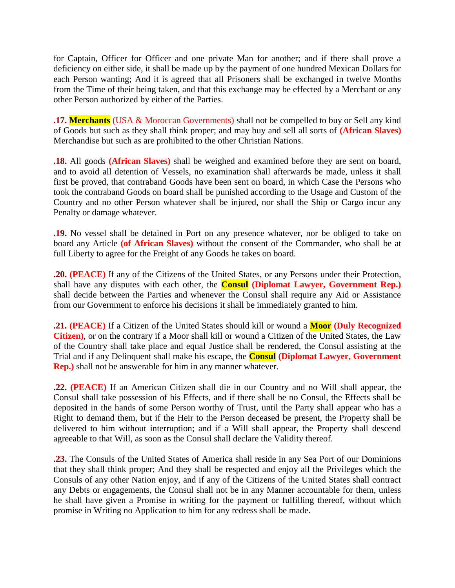for Captain, Officer for Officer and one private Man for another; and if there shall prove a deficiency on either side, it shall be made up by the payment of one hundred Mexican Dollars for each Person wanting; And it is agreed that all Prisoners shall be exchanged in twelve Months from the Time of their being taken, and that this exchange may be effected by a Merchant or any other Person authorized by either of the Parties.

**.17. Merchants** (USA & Moroccan Governments) shall not be compelled to buy or Sell any kind of Goods but such as they shall think proper; and may buy and sell all sorts of **(African Slaves)** Merchandise but such as are prohibited to the other Christian Nations.

**.18.** All goods **(African Slaves)** shall be weighed and examined before they are sent on board, and to avoid all detention of Vessels, no examination shall afterwards be made, unless it shall first be proved, that contraband Goods have been sent on board, in which Case the Persons who took the contraband Goods on board shall be punished according to the Usage and Custom of the Country and no other Person whatever shall be injured, nor shall the Ship or Cargo incur any Penalty or damage whatever.

**.19.** No vessel shall be detained in Port on any presence whatever, nor be obliged to take on board any Article **(of African Slaves)** without the consent of the Commander, who shall be at full Liberty to agree for the Freight of any Goods he takes on board.

**.20. (PEACE)** If any of the Citizens of the United States, or any Persons under their Protection, shall have any disputes with each other, the **Consul (Diplomat Lawyer, Government Rep.)** shall decide between the Parties and whenever the Consul shall require any Aid or Assistance from our Government to enforce his decisions it shall be immediately granted to him.

**.21. (PEACE)** If a Citizen of the United States should kill or wound a **Moor (Duly Recognized Citizen)**, or on the contrary if a Moor shall kill or wound a Citizen of the United States, the Law of the Country shall take place and equal Justice shall be rendered, the Consul assisting at the Trial and if any Delinquent shall make his escape, the **Consul (Diplomat Lawyer, Government Rep.)** shall not be answerable for him in any manner whatever.

**.22. (PEACE)** If an American Citizen shall die in our Country and no Will shall appear, the Consul shall take possession of his Effects, and if there shall be no Consul, the Effects shall be deposited in the hands of some Person worthy of Trust, until the Party shall appear who has a Right to demand them, but if the Heir to the Person deceased be present, the Property shall be delivered to him without interruption; and if a Will shall appear, the Property shall descend agreeable to that Will, as soon as the Consul shall declare the Validity thereof.

**.23.** The Consuls of the United States of America shall reside in any Sea Port of our Dominions that they shall think proper; And they shall be respected and enjoy all the Privileges which the Consuls of any other Nation enjoy, and if any of the Citizens of the United States shall contract any Debts or engagements, the Consul shall not be in any Manner accountable for them, unless he shall have given a Promise in writing for the payment or fulfilling thereof, without which promise in Writing no Application to him for any redress shall be made.